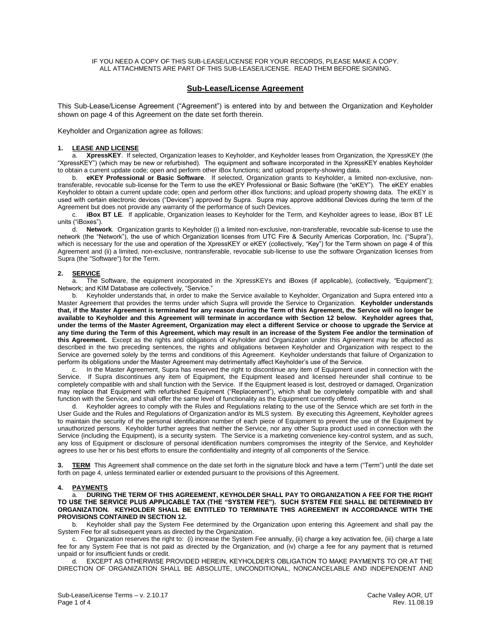#### IF YOU NEED A COPY OF THIS SUB-LEASE/LICENSE FOR YOUR RECORDS, PLEASE MAKE A COPY. ALL ATTACHMENTS ARE PART OF THIS SUB-LEASE/LICENSE. READ THEM BEFORE SIGNING.

# **Sub-Lease/License Agreement**

This Sub-Lease/License Agreement ("Agreement") is entered into by and between the Organization and Keyholder shown on page 4 of this Agreement on the date set forth therein.

Keyholder and Organization agree as follows:

#### **1. LEASE AND LICENSE**

a. **XpressKEY**.If selected, Organization leases to Keyholder, and Keyholder leases from Organization, the XpressKEY (the "XpressKEY") (which may be new or refurbished). The equipment and software incorporated in the XpressKEY enables Keyholder to obtain a current update code; open and perform other iBox functions; and upload property-showing data.

b. **eKEY Professional or Basic Software**.If selected, Organization grants to Keyholder, a limited non-exclusive, nontransferable, revocable sub-license for the Term to use the eKEY Professional or Basic Software (the "eKEY"). The eKEY enables Keyholder to obtain a current update code; open and perform other iBox functions; and upload property showing data. The eKEY is used with certain electronic devices ("Devices") approved by Supra. Supra may approve additional Devices during the term of the Agreement but does not provide any warranty of the performance of such Devices.

c. **iBox BT LE**. If applicable, Organization leases to Keyholder for the Term, and Keyholder agrees to lease, iBox BT LE units ("iBoxes").

d. **Network**. Organization grants to Keyholder (i) a limited non-exclusive, non-transferable, revocable sub-license to use the network (the "Network"), the use of which Organization licenses from UTC Fire & Security Americas Corporation, Inc. ("Supra"), which is necessary for the use and operation of the XpressKEY or eKEY (collectively, "Key") for the Term shown on page 4 of this Agreement and (ii) a limited, non-exclusive, nontransferable, revocable sub-license to use the software Organization licenses from Supra (the "Software") for the Term.

# **2. SERVICE**

a. The Software, the equipment incorporated in the XpressKEYs and iBoxes (if applicable), (collectively, "Equipment"); Network; and KIM Database are collectively, "Service."

b. Keyholder understands that, in order to make the Service available to Keyholder, Organization and Supra entered into a Master Agreement that provides the terms under which Supra will provide the Service to Organization. **Keyholder understands that, if the Master Agreement is terminated for any reason during the Term of this Agreement, the Service will no longer be available to Keyholder and this Agreement will terminate in accordance with Section 12 below. Keyholder agrees that, under the terms of the Master Agreement, Organization may elect a different Service or choose to upgrade the Service at any time during the Term of this Agreement, which may result in an increase of the System Fee and/or the termination of this Agreement.** Except as the rights and obligations of Keyholder and Organization under this Agreement may be affected as described in the two preceding sentences, the rights and obligations between Keyholder and Organization with respect to the Service are governed solely by the terms and conditions of this Agreement. Keyholder understands that failure of Organization to perform its obligations under the Master Agreement may detrimentally affect Keyholder's use of the Service.

c. In the Master Agreement, Supra has reserved the right to discontinue any item of Equipment used in connection with the Service. If Supra discontinues any item of Equipment, the Equipment leased and licensed hereunder shall continue to be completely compatible with and shall function with the Service. If the Equipment leased is lost, destroyed or damaged, Organization may replace that Equipment with refurbished Equipment ("Replacement"), which shall be completely compatible with and shall function with the Service, and shall offer the same level of functionality as the Equipment currently offered.

Keyholder agrees to comply with the Rules and Regulations relating to the use of the Service which are set forth in the User Guide and the Rules and Regulations of Organization and/or its MLS system. By executing this Agreement, Keyholder agrees to maintain the security of the personal identification number of each piece of Equipment to prevent the use of the Equipment by unauthorized persons. Keyholder further agrees that neither the Service, nor any other Supra product used in connection with the Service (including the Equipment), is a security system. The Service is a marketing convenience key-control system, and as such, any loss of Equipment or disclosure of personal identification numbers compromises the integrity of the Service, and Keyholder agrees to use her or his best efforts to ensure the confidentiality and integrity of all components of the Service.

**3. TERM** This Agreement shall commence on the date set forth in the signature block and have a term ("Term") until the date set forth on page 4, unless terminated earlier or extended pursuant to the provisions of this Agreement.

## **4. PAYMENTS**

a. **DURING THE TERM OF THIS AGREEMENT, KEYHOLDER SHALL PAY TO ORGANIZATION A FEE FOR THE RIGHT TO USE THE SERVICE PLUS APPLICABLE TAX (THE "SYSTEM FEE"). SUCH SYSTEM FEE SHALL BE DETERMINED BY ORGANIZATION. KEYHOLDER SHALL BE ENTITLED TO TERMINATE THIS AGREEMENT IN ACCORDANCE WITH THE PROVISIONS CONTAINED IN SECTION 12.**

b. Keyholder shall pay the System Fee determined by the Organization upon entering this Agreement and shall pay the System Fee for all subsequent years as directed by the Organization.

c. Organization reserves the right to: (i) increase the System Fee annually, (ii) charge a key activation fee, (iii) charge a late fee for any System Fee that is not paid as directed by the Organization, and (iv) charge a fee for any payment that is returned unpaid or for insufficient funds or credit.

d. EXCEPT AS OTHERWISE PROVIDED HEREIN, KEYHOLDER'S OBLIGATION TO MAKE PAYMENTS TO OR AT THE DIRECTION OF ORGANIZATION SHALL BE ABSOLUTE, UNCONDITIONAL, NONCANCELABLE AND INDEPENDENT AND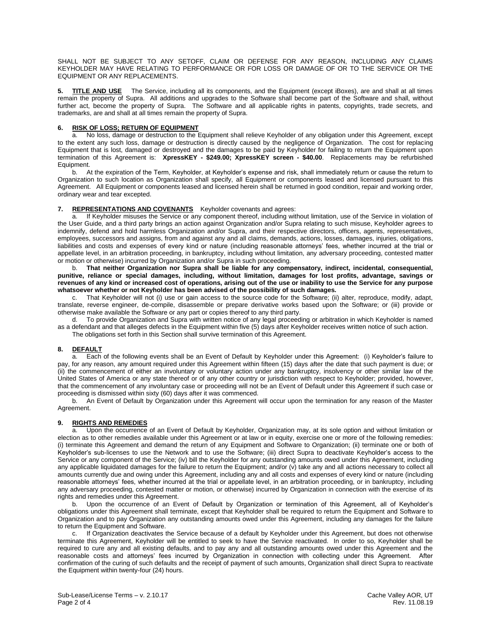SHALL NOT BE SUBJECT TO ANY SETOFF, CLAIM OR DEFENSE FOR ANY REASON, INCLUDING ANY CLAIMS KEYHOLDER MAY HAVE RELATING TO PERFORMANCE OR FOR LOSS OR DAMAGE OF OR TO THE SERVICE OR THE EQUIPMENT OR ANY REPLACEMENTS.

**5. TITLE AND USE** The Service, including all its components, and the Equipment (except iBoxes), are and shall at all times remain the property of Supra. All additions and upgrades to the Software shall become part of the Software and shall, without further act, become the property of Supra. The Software and all applicable rights in patents, copyrights, trade secrets, and trademarks, are and shall at all times remain the property of Supra.

# **6. RISK OF LOSS; RETURN OF EQUIPMENT**

a. No loss, damage or destruction to the Equipment shall relieve Keyholder of any obligation under this Agreement, except to the extent any such loss, damage or destruction is directly caused by the negligence of Organization. The cost for replacing Equipment that is lost, damaged or destroyed and the damages to be paid by Keyholder for failing to return the Equipment upon termination of this Agreement is: **XpressKEY - \$249.00; XpressKEY screen - \$40.00**. Replacements may be refurbished Equipment.

b. At the expiration of the Term, Keyholder, at Keyholder's expense and risk, shall immediately return or cause the return to Organization to such location as Organization shall specify, all Equipment or components leased and licensed pursuant to this Agreement. All Equipment or components leased and licensed herein shall be returned in good condition, repair and working order, ordinary wear and tear excepted.

**7. REPRESENTATIONS AND COVENANTS** Keyholder covenants and agrees:<br>a. If Keyholder misuses the Service or any component thereof, including with If Keyholder misuses the Service or any component thereof, including without limitation, use of the Service in violation of the User Guide, and a third party brings an action against Organization and/or Supra relating to such misuse, Keyholder agrees to indemnify, defend and hold harmless Organization and/or Supra, and their respective directors, officers, agents, representatives, employees, successors and assigns, from and against any and all claims, demands, actions, losses, damages, injuries, obligations, liabilities and costs and expenses of every kind or nature (including reasonable attorneys' fees, whether incurred at the trial or appellate level, in an arbitration proceeding, in bankruptcy, including without limitation, any adversary proceeding, contested matter or motion or otherwise) incurred by Organization and/or Supra in such proceeding.

b. **That neither Organization nor Supra shall be liable for any compensatory, indirect, incidental, consequential, punitive, reliance or special damages, including, without limitation, damages for lost profits, advantage, savings or revenues of any kind or increased cost of operations, arising out of the use or inability to use the Service for any purpose whatsoever whether or not Keyholder has been advised of the possibility of such damages.**

c. That Keyholder will not (i) use or gain access to the source code for the Software; (ii) alter, reproduce, modify, adapt, translate, reverse engineer, de-compile, disassemble or prepare derivative works based upon the Software; or (iii) provide or otherwise make available the Software or any part or copies thereof to any third party.

d. To provide Organization and Supra with written notice of any legal proceeding or arbitration in which Keyholder is named as a defendant and that alleges defects in the Equipment within five (5) days after Keyholder receives written notice of such action.

The obligations set forth in this Section shall survive termination of this Agreement.

## **8. DEFAULT**

a. Each of the following events shall be an Event of Default by Keyholder under this Agreement: (i) Keyholder's failure to pay, for any reason, any amount required under this Agreement within fifteen (15) days after the date that such payment is due; or (ii) the commencement of either an involuntary or voluntary action under any bankruptcy, insolvency or other similar law of the United States of America or any state thereof or of any other country or jurisdiction with respect to Keyholder; provided, however, that the commencement of any involuntary case or proceeding will not be an Event of Default under this Agreement if such case or proceeding is dismissed within sixty (60) days after it was commenced.

b. An Event of Default by Organization under this Agreement will occur upon the termination for any reason of the Master Agreement.

## **9. RIGHTS AND REMEDIES**

a. Upon the occurrence of an Event of Default by Keyholder, Organization may, at its sole option and without limitation or election as to other remedies available under this Agreement or at law or in equity, exercise one or more of the following remedies: (i) terminate this Agreement and demand the return of any Equipment and Software to Organization; (ii) terminate one or both of Keyholder's sub-licenses to use the Network and to use the Software; (iii) direct Supra to deactivate Keyholder's access to the Service or any component of the Service; (iv) bill the Keyholder for any outstanding amounts owed under this Agreement, including any applicable liquidated damages for the failure to return the Equipment; and/or (v) take any and all actions necessary to collect all amounts currently due and owing under this Agreement, including any and all costs and expenses of every kind or nature (including reasonable attorneys' fees, whether incurred at the trial or appellate level, in an arbitration proceeding, or in bankruptcy, including any adversary proceeding, contested matter or motion, or otherwise) incurred by Organization in connection with the exercise of its rights and remedies under this Agreement.

b. Upon the occurrence of an Event of Default by Organization or termination of this Agreement, all of Keyholder's obligations under this Agreement shall terminate, except that Keyholder shall be required to return the Equipment and Software to Organization and to pay Organization any outstanding amounts owed under this Agreement, including any damages for the failure to return the Equipment and Software.

c. If Organization deactivates the Service because of a default by Keyholder under this Agreement, but does not otherwise terminate this Agreement, Keyholder will be entitled to seek to have the Service reactivated. In order to so, Keyholder shall be required to cure any and all existing defaults, and to pay any and all outstanding amounts owed under this Agreement and the reasonable costs and attorneys' fees incurred by Organization in connection with collecting under this Agreement. After confirmation of the curing of such defaults and the receipt of payment of such amounts, Organization shall direct Supra to reactivate the Equipment within twenty-four (24) hours.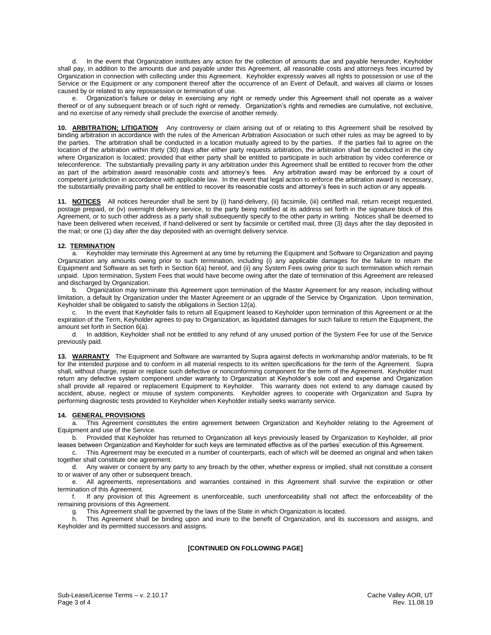d. In the event that Organization institutes any action for the collection of amounts due and payable hereunder, Keyholder shall pay, in addition to the amounts due and payable under this Agreement, all reasonable costs and attorneys fees incurred by Organization in connection with collecting under this Agreement. Keyholder expressly waives all rights to possession or use of the Service or the Equipment or any component thereof after the occurrence of an Event of Default, and waives all claims or losses caused by or related to any repossession or termination of use.

e. Organization's failure or delay in exercising any right or remedy under this Agreement shall not operate as a waiver thereof or of any subsequent breach or of such right or remedy. Organization's rights and remedies are cumulative, not exclusive, and no exercise of any remedy shall preclude the exercise of another remedy.

**10. ARBITRATION; LITIGATION** Any controversy or claim arising out of or relating to this Agreement shall be resolved by binding arbitration in accordance with the rules of the American Arbitration Association or such other rules as may be agreed to by the parties. The arbitration shall be conducted in a location mutually agreed to by the parties. If the parties fail to agree on the location of the arbitration within thirty (30) days after either party requests arbitration, the arbitration shall be conducted in the city where Organization is located; provided that either party shall be entitled to participate in such arbitration by video conference or teleconference. The substantially prevailing party in any arbitration under this Agreement shall be entitled to recover from the other as part of the arbitration award reasonable costs and attorney's fees. Any arbitration award may be enforced by a court of competent jurisdiction in accordance with applicable law. In the event that legal action to enforce the arbitration award is necessary, the substantially prevailing party shall be entitled to recover its reasonable costs and attorney's fees in such action or any appeals.

**11. NOTICES** All notices hereunder shall be sent by (i) hand-delivery, (ii) facsimile, (iii) certified mail, return receipt requested, postage prepaid, or (iv) overnight delivery service, to the party being notified at its address set forth in the signature block of this Agreement, or to such other address as a party shall subsequently specify to the other party in writing. Notices shall be deemed to have been delivered when received, if hand-delivered or sent by facsimile or certified mail, three (3) days after the day deposited in the mail; or one (1) day after the day deposited with an overnight delivery service.

## **12. TERMINATION**

a. Keyholder may terminate this Agreement at any time by returning the Equipment and Software to Organization and paying Organization any amounts owing prior to such termination, including (i) any applicable damages for the failure to return the Equipment and Software as set forth in Section 6(a) hereof, and (ii) any System Fees owing prior to such termination which remain unpaid. Upon termination, System Fees that would have become owing after the date of termination of this Agreement are released and discharged by Organization.

b. Organization may terminate this Agreement upon termination of the Master Agreement for any reason, including without limitation, a default by Organization under the Master Agreement or an upgrade of the Service by Organization. Upon termination, Keyholder shall be obligated to satisfy the obligations in Section 12(a).

c. In the event that Keyholder fails to return all Equipment leased to Keyholder upon termination of this Agreement or at the expiration of the Term, Keyholder agrees to pay to Organization, as liquidated damages for such failure to return the Equipment, the amount set forth in Section 6(a).

d. In addition, Keyholder shall not be entitled to any refund of any unused portion of the System Fee for use of the Service previously paid.

**13. WARRANTY** The Equipment and Software are warranted by Supra against defects in workmanship and/or materials, to be fit for the intended purpose and to conform in all material respects to its written specifications for the term of the Agreement. Supra shall, without charge, repair or replace such defective or nonconforming component for the term of the Agreement. Keyholder must return any defective system component under warranty to Organization at Keyholder's sole cost and expense and Organization shall provide all repaired or replacement Equipment to Keyholder. This warranty does not extend to any damage caused by accident, abuse, neglect or misuse of system components. Keyholder agrees to cooperate with Organization and Supra by performing diagnostic tests provided to Keyholder when Keyholder initially seeks warranty service.

#### **14. GENERAL PROVISIONS**

This Agreement constitutes the entire agreement between Organization and Keyholder relating to the Agreement of Equipment and use of the Service.

b. Provided that Keyholder has returned to Organization all keys previously leased by Organization to Keyholder, all prior leases between Organization and Keyholder for such keys are terminated effective as of the parties' execution of this Agreement.

c. This Agreement may be executed in a number of counterparts, each of which will be deemed an original and when taken together shall constitute one agreement.

d. Any waiver or consent by any party to any breach by the other, whether express or implied, shall not constitute a consent to or waiver of any other or subsequent breach.

e. All agreements, representations and warranties contained in this Agreement shall survive the expiration or other termination of this Agreement.

f. If any provision of this Agreement is unenforceable, such unenforceability shall not affect the enforceability of the remaining provisions of this Agreement.

g. This Agreement shall be governed by the laws of the State in which Organization is located.

h. This Agreement shall be binding upon and inure to the benefit of Organization, and its successors and assigns, and Keyholder and its permitted successors and assigns.

## **[CONTINUED ON FOLLOWING PAGE]**